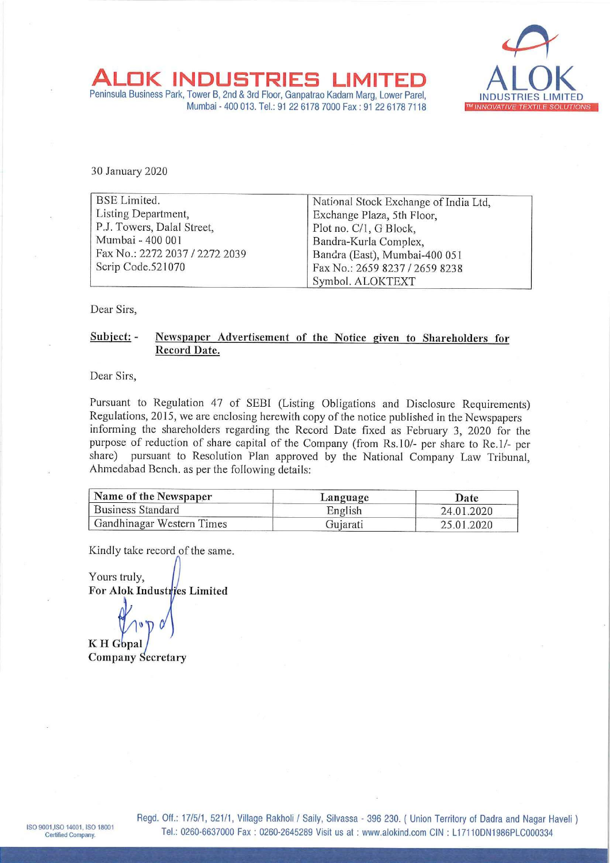

|

ALOK INDUSTRIES LIMITED ALOK RESINTER AND A ALOK INDUSTRIES Mumbai - 400 013. Tel.: 91 22 6178 7000 Fax : 91 22 6178 7118 ALOK INDUSTRIES<br>
Peninsula Business Park, Tower B, 2nd & 3rd Floor, Ganpal<br>
Mumbai - 400 013. Tel.: 91 22 61<br>
30 January 2020

| OK INDUSTRIES                                                                                                                                         |                                                                                                                                                                                                                                                                                                                                                                                                                                                                                                                                                                                  |
|-------------------------------------------------------------------------------------------------------------------------------------------------------|----------------------------------------------------------------------------------------------------------------------------------------------------------------------------------------------------------------------------------------------------------------------------------------------------------------------------------------------------------------------------------------------------------------------------------------------------------------------------------------------------------------------------------------------------------------------------------|
| Peninsula Business Park, Tower B, 2nd & 3rd Floor, Ganpatrao Kadam Marg, Lower Parel,<br>Mumbai - 400 013. Tel.: 91 22 6178 7000 Fax: 91 22 6178 7118 | <b>TM INNOVATIVE TEX</b>                                                                                                                                                                                                                                                                                                                                                                                                                                                                                                                                                         |
|                                                                                                                                                       |                                                                                                                                                                                                                                                                                                                                                                                                                                                                                                                                                                                  |
|                                                                                                                                                       |                                                                                                                                                                                                                                                                                                                                                                                                                                                                                                                                                                                  |
|                                                                                                                                                       |                                                                                                                                                                                                                                                                                                                                                                                                                                                                                                                                                                                  |
| National Stock Exchange of India Ltd,                                                                                                                 |                                                                                                                                                                                                                                                                                                                                                                                                                                                                                                                                                                                  |
|                                                                                                                                                       |                                                                                                                                                                                                                                                                                                                                                                                                                                                                                                                                                                                  |
|                                                                                                                                                       |                                                                                                                                                                                                                                                                                                                                                                                                                                                                                                                                                                                  |
|                                                                                                                                                       |                                                                                                                                                                                                                                                                                                                                                                                                                                                                                                                                                                                  |
|                                                                                                                                                       |                                                                                                                                                                                                                                                                                                                                                                                                                                                                                                                                                                                  |
| Symbol. ALOKTEXT                                                                                                                                      |                                                                                                                                                                                                                                                                                                                                                                                                                                                                                                                                                                                  |
|                                                                                                                                                       |                                                                                                                                                                                                                                                                                                                                                                                                                                                                                                                                                                                  |
| Newspaper Advertisement of the Notice given to Shareholders for                                                                                       |                                                                                                                                                                                                                                                                                                                                                                                                                                                                                                                                                                                  |
|                                                                                                                                                       |                                                                                                                                                                                                                                                                                                                                                                                                                                                                                                                                                                                  |
|                                                                                                                                                       |                                                                                                                                                                                                                                                                                                                                                                                                                                                                                                                                                                                  |
|                                                                                                                                                       |                                                                                                                                                                                                                                                                                                                                                                                                                                                                                                                                                                                  |
|                                                                                                                                                       |                                                                                                                                                                                                                                                                                                                                                                                                                                                                                                                                                                                  |
| informing the shareholders regarding the Record Date fixed as February 3, 2020 for the                                                                |                                                                                                                                                                                                                                                                                                                                                                                                                                                                                                                                                                                  |
|                                                                                                                                                       |                                                                                                                                                                                                                                                                                                                                                                                                                                                                                                                                                                                  |
|                                                                                                                                                       |                                                                                                                                                                                                                                                                                                                                                                                                                                                                                                                                                                                  |
|                                                                                                                                                       |                                                                                                                                                                                                                                                                                                                                                                                                                                                                                                                                                                                  |
|                                                                                                                                                       | Date                                                                                                                                                                                                                                                                                                                                                                                                                                                                                                                                                                             |
| English                                                                                                                                               | 24.01.2020                                                                                                                                                                                                                                                                                                                                                                                                                                                                                                                                                                       |
| Gujarati                                                                                                                                              | 25.01.2020                                                                                                                                                                                                                                                                                                                                                                                                                                                                                                                                                                       |
|                                                                                                                                                       | Exchange Plaza, 5th Floor,<br>Plot no. C/1, G Block,<br>Bandra-Kurla Complex,<br>Bandra (East), Mumbai-400 051<br>Fax No.: 2659 8237 / 2659 8238<br>Pursuant to Regulation 47 of SEBI (Listing Obligations and Disclosure Requirements)<br>Regulations, 2015, we are enclosing herewith copy of the notice published in the Newspapers<br>purpose of reduction of share capital of the Company (from Rs.10/- per share to Re.1/- per<br>pursuant to Resolution Plan approved by the National Company Law Tribunal,<br>Ahmedabad Bench. as per the following details:<br>Language |

## Subject:- Newspaper Advertisement of the Notice given to Shareholders for Record Date.

| Name of the Newspaper     | Language | Date       |
|---------------------------|----------|------------|
| <b>Business Standard</b>  | English  | 24.01.2020 |
| Gandhinagar Western Times | Gujarati | 25.01.2020 |

Kindly take record of the same.

Yours truly, For Alok Industries Limited

 $\mathbf{v}$ 

KH Gopal Company Secretary